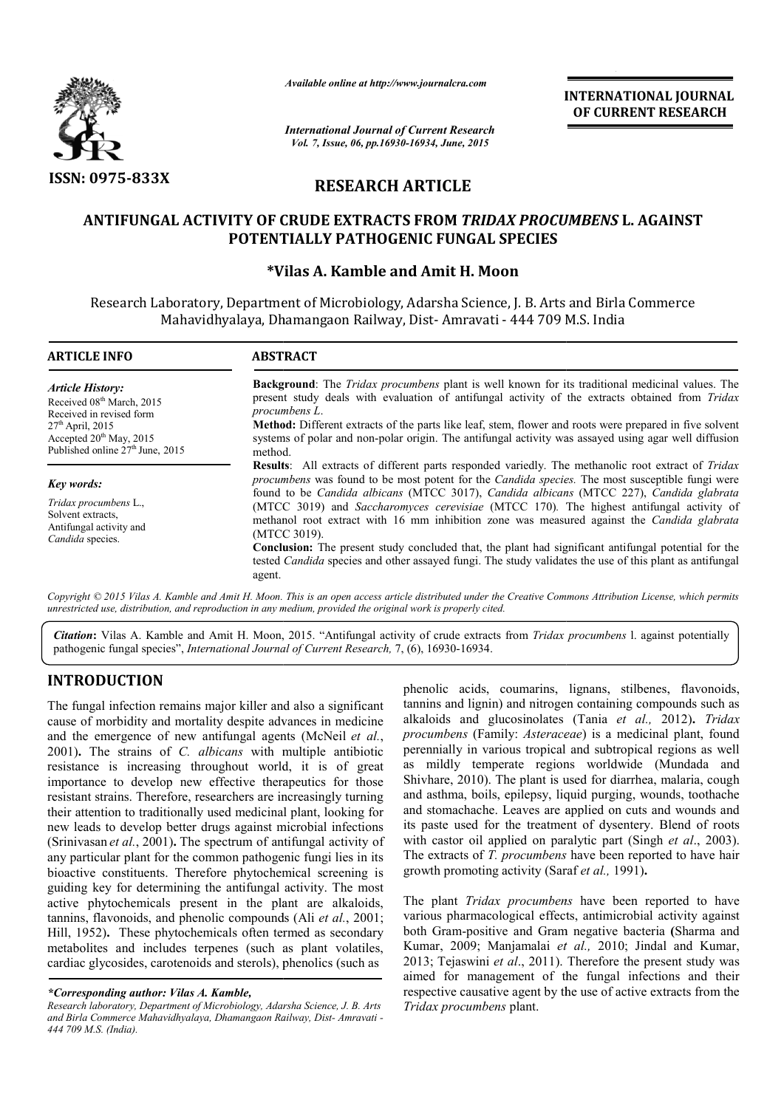

*Available online at http://www.journalcra.com*

# **RESEARCH ARTICLE**

# **ANTIFUNGAL ACTIVITY OF CRUDE EXTRACTS FROM**  *TRIDAX PROCUMBENS* **L. AGAINST POTENTIALLY PATHOGENIC FUNGAL SPECIES**

# **\*Vilas A. Kamble and Vilas Amit H. Moon**

|                                                                                                                                                                                                                     |                                                                                                                                                                                                                                                                                                                                                                                                                                                                                                                                                                                                                                                                                                                                                                                                                                                                                                                                                                                                                                                                                                                                               | <b>International Journal of Current Research</b><br>Vol. 7, Issue, 06, pp.16930-16934, June, 2015                                                                                                                                                                                                                                                                                                                                                                                                                                                                                                                                                                                                            |                                                                                                                                                                                                                                                                                                                                                                                                                                                                                                                                                                                                                                                                                                                                                                                                                                                                                                                                                                                                                                                                                                              |  |  |
|---------------------------------------------------------------------------------------------------------------------------------------------------------------------------------------------------------------------|-----------------------------------------------------------------------------------------------------------------------------------------------------------------------------------------------------------------------------------------------------------------------------------------------------------------------------------------------------------------------------------------------------------------------------------------------------------------------------------------------------------------------------------------------------------------------------------------------------------------------------------------------------------------------------------------------------------------------------------------------------------------------------------------------------------------------------------------------------------------------------------------------------------------------------------------------------------------------------------------------------------------------------------------------------------------------------------------------------------------------------------------------|--------------------------------------------------------------------------------------------------------------------------------------------------------------------------------------------------------------------------------------------------------------------------------------------------------------------------------------------------------------------------------------------------------------------------------------------------------------------------------------------------------------------------------------------------------------------------------------------------------------------------------------------------------------------------------------------------------------|--------------------------------------------------------------------------------------------------------------------------------------------------------------------------------------------------------------------------------------------------------------------------------------------------------------------------------------------------------------------------------------------------------------------------------------------------------------------------------------------------------------------------------------------------------------------------------------------------------------------------------------------------------------------------------------------------------------------------------------------------------------------------------------------------------------------------------------------------------------------------------------------------------------------------------------------------------------------------------------------------------------------------------------------------------------------------------------------------------------|--|--|
| <b>ISSN: 0975-833X</b>                                                                                                                                                                                              |                                                                                                                                                                                                                                                                                                                                                                                                                                                                                                                                                                                                                                                                                                                                                                                                                                                                                                                                                                                                                                                                                                                                               | <b>RESEARCH ARTICLE</b>                                                                                                                                                                                                                                                                                                                                                                                                                                                                                                                                                                                                                                                                                      |                                                                                                                                                                                                                                                                                                                                                                                                                                                                                                                                                                                                                                                                                                                                                                                                                                                                                                                                                                                                                                                                                                              |  |  |
|                                                                                                                                                                                                                     |                                                                                                                                                                                                                                                                                                                                                                                                                                                                                                                                                                                                                                                                                                                                                                                                                                                                                                                                                                                                                                                                                                                                               |                                                                                                                                                                                                                                                                                                                                                                                                                                                                                                                                                                                                                                                                                                              |                                                                                                                                                                                                                                                                                                                                                                                                                                                                                                                                                                                                                                                                                                                                                                                                                                                                                                                                                                                                                                                                                                              |  |  |
|                                                                                                                                                                                                                     | <b>ANTIFUNGAL ACTIVITY OF CRUDE EXTRACTS FROM TRIDAX PROCUMBENS L. AGAINST</b><br>POTENTIALLY PATHOGENIC FUNGAL SPECIES                                                                                                                                                                                                                                                                                                                                                                                                                                                                                                                                                                                                                                                                                                                                                                                                                                                                                                                                                                                                                       |                                                                                                                                                                                                                                                                                                                                                                                                                                                                                                                                                                                                                                                                                                              |                                                                                                                                                                                                                                                                                                                                                                                                                                                                                                                                                                                                                                                                                                                                                                                                                                                                                                                                                                                                                                                                                                              |  |  |
|                                                                                                                                                                                                                     |                                                                                                                                                                                                                                                                                                                                                                                                                                                                                                                                                                                                                                                                                                                                                                                                                                                                                                                                                                                                                                                                                                                                               | *Vilas A. Kamble and Amit H. Moon                                                                                                                                                                                                                                                                                                                                                                                                                                                                                                                                                                                                                                                                            |                                                                                                                                                                                                                                                                                                                                                                                                                                                                                                                                                                                                                                                                                                                                                                                                                                                                                                                                                                                                                                                                                                              |  |  |
|                                                                                                                                                                                                                     | Research Laboratory, Department of Microbiology, Adarsha Science, J. B. Arts and Birla Commerce<br>Mahavidhyalaya, Dhamangaon Railway, Dist-Amravati - 444 709 M.S. India                                                                                                                                                                                                                                                                                                                                                                                                                                                                                                                                                                                                                                                                                                                                                                                                                                                                                                                                                                     |                                                                                                                                                                                                                                                                                                                                                                                                                                                                                                                                                                                                                                                                                                              |                                                                                                                                                                                                                                                                                                                                                                                                                                                                                                                                                                                                                                                                                                                                                                                                                                                                                                                                                                                                                                                                                                              |  |  |
| <b>ARTICLE INFO</b>                                                                                                                                                                                                 | <b>ABSTRACT</b>                                                                                                                                                                                                                                                                                                                                                                                                                                                                                                                                                                                                                                                                                                                                                                                                                                                                                                                                                                                                                                                                                                                               |                                                                                                                                                                                                                                                                                                                                                                                                                                                                                                                                                                                                                                                                                                              |                                                                                                                                                                                                                                                                                                                                                                                                                                                                                                                                                                                                                                                                                                                                                                                                                                                                                                                                                                                                                                                                                                              |  |  |
| <b>Article History:</b><br>Received 08 <sup>th</sup> March, 2015<br>Received in revised form<br>27 <sup>th</sup> April, 2015<br>Accepted 20 <sup>th</sup> May, 2015<br>Published online 27 <sup>th</sup> June, 2015 | procumbens L.<br>method.                                                                                                                                                                                                                                                                                                                                                                                                                                                                                                                                                                                                                                                                                                                                                                                                                                                                                                                                                                                                                                                                                                                      |                                                                                                                                                                                                                                                                                                                                                                                                                                                                                                                                                                                                                                                                                                              | <b>Background:</b> The <i>Tridax procumbens</i> plant is well known for its traditional medicinal values. The<br>present study deals with evaluation of antifungal activity of the extracts obtained from Tridax<br>Method: Different extracts of the parts like leaf, stem, flower and roots were prepared in five solvent<br>systems of polar and non-polar origin. The antifungal activity was assayed using agar well diffusion                                                                                                                                                                                                                                                                                                                                                                                                                                                                                                                                                                                                                                                                          |  |  |
| <b>Key words:</b><br>Tridax procumbens L.,<br>Solvent extracts.<br>Antifungal activity and<br>Candida species.                                                                                                      | (MTCC 3019).<br>agent.                                                                                                                                                                                                                                                                                                                                                                                                                                                                                                                                                                                                                                                                                                                                                                                                                                                                                                                                                                                                                                                                                                                        | Results: All extracts of different parts responded variedly. The methanolic root extract of Tridax<br>procumbens was found to be most potent for the Candida species. The most susceptible fungi were<br>found to be Candida albicans (MTCC 3017), Candida albicans (MTCC 227), Candida glabrata<br>(MTCC 3019) and Saccharomyces cerevisiae (MTCC 170). The highest antifungal activity of<br>methanol root extract with 16 mm inhibition zone was measured against the Candida glabrata<br>Conclusion: The present study concluded that, the plant had significant antifungal potential for the<br>tested Candida species and other assayed fungi. The study validates the use of this plant as antifungal |                                                                                                                                                                                                                                                                                                                                                                                                                                                                                                                                                                                                                                                                                                                                                                                                                                                                                                                                                                                                                                                                                                              |  |  |
|                                                                                                                                                                                                                     | unrestricted use, distribution, and reproduction in any medium, provided the original work is properly cited.                                                                                                                                                                                                                                                                                                                                                                                                                                                                                                                                                                                                                                                                                                                                                                                                                                                                                                                                                                                                                                 |                                                                                                                                                                                                                                                                                                                                                                                                                                                                                                                                                                                                                                                                                                              | Copyright © 2015 Vilas A. Kamble and Amit H. Moon. This is an open access article distributed under the Creative Commons Attribution License, which permits                                                                                                                                                                                                                                                                                                                                                                                                                                                                                                                                                                                                                                                                                                                                                                                                                                                                                                                                                  |  |  |
|                                                                                                                                                                                                                     | pathogenic fungal species", International Journal of Current Research, 7, (6), 16930-16934.                                                                                                                                                                                                                                                                                                                                                                                                                                                                                                                                                                                                                                                                                                                                                                                                                                                                                                                                                                                                                                                   |                                                                                                                                                                                                                                                                                                                                                                                                                                                                                                                                                                                                                                                                                                              | Citation: Vilas A. Kamble and Amit H. Moon, 2015. "Antifungal activity of crude extracts from Tridax procumbens 1. against potentially                                                                                                                                                                                                                                                                                                                                                                                                                                                                                                                                                                                                                                                                                                                                                                                                                                                                                                                                                                       |  |  |
| <b>INTRODUCTION</b>                                                                                                                                                                                                 |                                                                                                                                                                                                                                                                                                                                                                                                                                                                                                                                                                                                                                                                                                                                                                                                                                                                                                                                                                                                                                                                                                                                               |                                                                                                                                                                                                                                                                                                                                                                                                                                                                                                                                                                                                                                                                                                              | phenolic acids, coumarins, lignans, stilbenes, flavonoids,                                                                                                                                                                                                                                                                                                                                                                                                                                                                                                                                                                                                                                                                                                                                                                                                                                                                                                                                                                                                                                                   |  |  |
| cardiac glycosides, carotenoids and sterols), phenolics (such as                                                                                                                                                    | The fungal infection remains major killer and also a significant<br>cause of morbidity and mortality despite advances in medicine<br>and the emergence of new antifungal agents (McNeil et al.,<br>2001). The strains of C. albicans with multiple antibiotic<br>resistance is increasing throughout world, it is of great<br>importance to develop new effective therapeutics for those<br>resistant strains. Therefore, researchers are increasingly turning<br>their attention to traditionally used medicinal plant, looking for<br>new leads to develop better drugs against microbial infections<br>(Srinivasan et al., 2001). The spectrum of antifungal activity of<br>any particular plant for the common pathogenic fungi lies in its<br>bioactive constituents. Therefore phytochemical screening is<br>guiding key for determining the antifungal activity. The most<br>active phytochemicals present in the plant are alkaloids,<br>tannins, flavonoids, and phenolic compounds (Ali et al., 2001;<br>Hill, 1952). These phytochemicals often termed as secondary<br>metabolites and includes terpenes (such as plant volatiles, | growth promoting activity (Saraf et al., 1991).                                                                                                                                                                                                                                                                                                                                                                                                                                                                                                                                                                                                                                                              | tannins and lignin) and nitrogen containing compounds such as<br>alkaloids and glucosinolates (Tania et al., 2012). Tridax<br>procumbens (Family: Asteraceae) is a medicinal plant, found<br>perennially in various tropical and subtropical regions as well<br>as mildly temperate regions worldwide (Mundada and<br>Shivhare, 2010). The plant is used for diarrhea, malaria, cough<br>and asthma, boils, epilepsy, liquid purging, wounds, toothache<br>and stomachache. Leaves are applied on cuts and wounds and<br>its paste used for the treatment of dysentery. Blend of roots<br>with castor oil applied on paralytic part (Singh et al., 2003).<br>The extracts of T. procumbens have been reported to have hair<br>The plant Tridax procumbens have been reported to have<br>various pharmacological effects, antimicrobial activity against<br>both Gram-positive and Gram negative bacteria (Sharma and<br>Kumar, 2009; Manjamalai et al., 2010; Jindal and Kumar,<br>2013; Tejaswini et al., 2011). Therefore the present study was<br>aimed for management of the fungal infections and their |  |  |
| *Corresponding author: Vilas A. Kamble,                                                                                                                                                                             |                                                                                                                                                                                                                                                                                                                                                                                                                                                                                                                                                                                                                                                                                                                                                                                                                                                                                                                                                                                                                                                                                                                                               |                                                                                                                                                                                                                                                                                                                                                                                                                                                                                                                                                                                                                                                                                                              | respective causative agent by the use of active extracts from the                                                                                                                                                                                                                                                                                                                                                                                                                                                                                                                                                                                                                                                                                                                                                                                                                                                                                                                                                                                                                                            |  |  |

# **INTRODUCTION**

The plant *Tridax procumbens Tridax procumbens* have been reported to have various pharmacological effects, antimicrobial activity against various pharmacological effects, antimicrobial activity against<br>both Gram-positive and Gram negative bacteria (Sharma and Kumar, 2009; Manjamalai et al., 2010; Jindal and Kumar, 2013; Tejaswini *et al*., 2011). Therefore the present study was aimed for management of the fungal infections and their respective causative agent by the use of active extracts from the *Tridax procumbens* plant.

*<sup>\*</sup>Corresponding author: Vilas A. Kamble,*

*Research laboratory, Department of Microbiology, Adarsha Science, J. B. Arts and Birla Commerce Mahavidhyalaya, Dhamangaon Railway, Dist angaon Dist- Amravati - 444 709 M.S. (India).*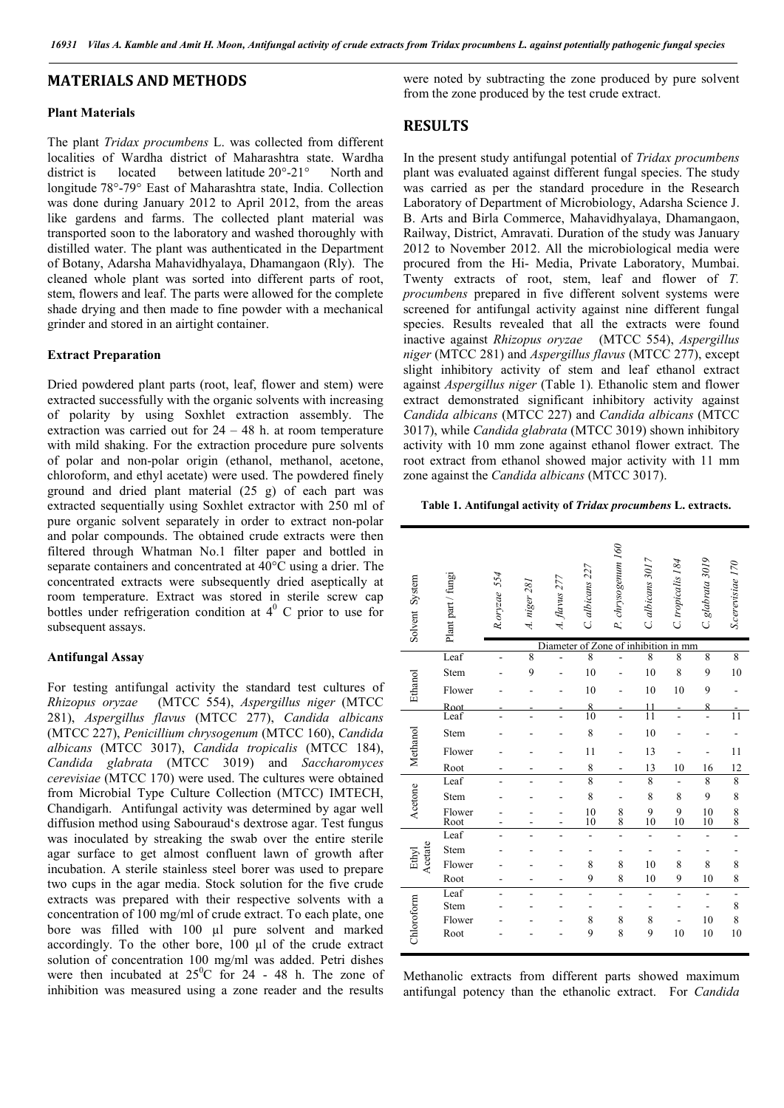### **MATERIALS AND METHODS**

#### **Plant Materials**

The plant *Tridax procumbens* L. was collected from different localities of Wardha district of Maharashtra state. Wardha district is located between latitude 20°-21° North and longitude 78°-79° East of Maharashtra state, India. Collection was done during January 2012 to April 2012, from the areas like gardens and farms. The collected plant material was transported soon to the laboratory and washed thoroughly with distilled water. The plant was authenticated in the Department of Botany, Adarsha Mahavidhyalaya, Dhamangaon (Rly). The cleaned whole plant was sorted into different parts of root, stem, flowers and leaf. The parts were allowed for the complete shade drying and then made to fine powder with a mechanical grinder and stored in an airtight container.

#### **Extract Preparation**

Dried powdered plant parts (root, leaf, flower and stem) were extracted successfully with the organic solvents with increasing of polarity by using Soxhlet extraction assembly. The extraction was carried out for  $24 - 48$  h. at room temperature with mild shaking. For the extraction procedure pure solvents of polar and non-polar origin (ethanol, methanol, acetone, chloroform, and ethyl acetate) were used. The powdered finely ground and dried plant material (25 g) of each part was extracted sequentially using Soxhlet extractor with 250 ml of pure organic solvent separately in order to extract non-polar and polar compounds. The obtained crude extracts were then filtered through Whatman No.1 filter paper and bottled in separate containers and concentrated at 40°C using a drier. The concentrated extracts were subsequently dried aseptically at room temperature. Extract was stored in sterile screw cap bottles under refrigeration condition at  $4^{\circ}$  C prior to use for subsequent assays.

#### **Antifungal Assay**

For testing antifungal activity the standard test cultures of *Rhizopus oryzae* (MTCC 554), *Aspergillus niger* (MTCC 281), *Aspergillus flavus* (MTCC 277), *Candida albicans* (MTCC 227), *Penicillium chrysogenum* (MTCC 160), *Candida albicans* (MTCC 3017), *Candida tropicalis* (MTCC 184), *Candida glabrata* (MTCC 3019) and *Saccharomyces cerevisiae* (MTCC 170) were used. The cultures were obtained from Microbial Type Culture Collection (MTCC) IMTECH, Chandigarh. Antifungal activity was determined by agar well diffusion method using Sabouraud's dextrose agar. Test fungus was inoculated by streaking the swab over the entire sterile agar surface to get almost confluent lawn of growth after incubation. A sterile stainless steel borer was used to prepare two cups in the agar media. Stock solution for the five crude extracts was prepared with their respective solvents with a concentration of 100 mg/ml of crude extract. To each plate, one bore was filled with 100 µl pure solvent and marked accordingly. To the other bore, 100 µl of the crude extract solution of concentration 100 mg/ml was added. Petri dishes were then incubated at  $25^{\circ}$ C for 24 - 48 h. The zone of inhibition was measured using a zone reader and the results

were noted by subtracting the zone produced by pure solvent from the zone produced by the test crude extract.

## **RESULTS**

In the present study antifungal potential of *Tridax procumbens*  plant was evaluated against different fungal species. The study was carried as per the standard procedure in the Research Laboratory of Department of Microbiology, Adarsha Science J. B. Arts and Birla Commerce, Mahavidhyalaya, Dhamangaon, Railway, District, Amravati. Duration of the study was January 2012 to November 2012. All the microbiological media were procured from the Hi- Media, Private Laboratory, Mumbai. Twenty extracts of root, stem, leaf and flower of *T. procumbens* prepared in five different solvent systems were screened for antifungal activity against nine different fungal species. Results revealed that all the extracts were found inactive against *Rhizopus oryzae* (MTCC 554), *Aspergillus niger* (MTCC 281) and *Aspergillus flavus* (MTCC 277), except slight inhibitory activity of stem and leaf ethanol extract against *Aspergillus niger* (Table 1)*.* Ethanolic stem and flower extract demonstrated significant inhibitory activity against *Candida albicans* (MTCC 227) and *Candida albicans* (MTCC 3017), while *Candida glabrata* (MTCC 3019) shown inhibitory activity with 10 mm zone against ethanol flower extract. The root extract from ethanol showed major activity with 11 mm zone against the *Candida albicans* (MTCC 3017).

#### **Table 1. Antifungal activity of** *Tridax procumbens* **L. extracts.**

| Solvent System   | Plant part / fungi | R.oryzae 554 | A. niger 281   | $A.$ flavus $277$ | C. albicans 227                                                 | P. chrysogenum 160                        | C. albicans 3017 | C. tropicalis 184 | C. glabrata 3019               | S.cerevisiae 170 |
|------------------|--------------------|--------------|----------------|-------------------|-----------------------------------------------------------------|-------------------------------------------|------------------|-------------------|--------------------------------|------------------|
|                  | Leaf               |              | $\overline{8}$ |                   | Diameter of Zone of inhibition in mm<br>$\overline{\mathbf{8}}$ |                                           | $\overline{8}$   | $\overline{8}$    | 8                              | $\overline{8}$   |
|                  | Stem               |              | 9              |                   | 10                                                              |                                           | 10               | 8                 | 9                              | 10               |
|                  |                    |              |                |                   |                                                                 |                                           |                  |                   |                                |                  |
| Ethanol          | Flower             |              |                |                   | 10                                                              |                                           | 10               | 10                | 9                              |                  |
|                  | Root<br>Leaf       |              |                |                   | $\overline{\mathbf{x}}$<br>10                                   |                                           | 11<br>11         |                   | $\mathbf{8}$<br>$\overline{a}$ | 11               |
|                  |                    |              |                |                   |                                                                 |                                           |                  |                   |                                |                  |
| Methanol         | Stem               |              |                |                   | 8                                                               |                                           | 10               |                   |                                |                  |
|                  | Flower             |              |                |                   | 11                                                              |                                           | 13               |                   |                                | 11               |
|                  | Root               |              |                |                   | 8                                                               |                                           | 13               | 10                | 16                             | 12               |
|                  | Leaf               |              |                |                   | $\overline{8}$                                                  |                                           | 8                |                   | 8                              | 8                |
| Acetone          | Stem               |              |                |                   | 8                                                               |                                           | 8                | 8                 | 9                              | $\,$ $\,$        |
|                  | Flower<br>Root     |              |                |                   | 10<br>10                                                        | $\begin{smallmatrix}8\8\end{smallmatrix}$ | $\frac{9}{10}$   | $\frac{9}{10}$    | 10<br>10                       | $_{8}^8$         |
| Acetate<br>Ethyl | Leaf               |              |                |                   |                                                                 |                                           |                  |                   |                                |                  |
|                  | Stem               |              |                |                   |                                                                 |                                           |                  |                   |                                |                  |
|                  | Flower             |              |                |                   | 8                                                               | 8                                         | 10               | 8                 | 8                              | 8                |
|                  | Root               |              |                |                   | 9                                                               | 8                                         | 10               | 9                 | 10                             | 8                |
|                  | Leaf               |              |                |                   | $\overline{a}$                                                  |                                           |                  |                   |                                |                  |
|                  | Stem               |              |                |                   |                                                                 |                                           |                  |                   |                                | 8                |
|                  | Flower             |              |                |                   | 8                                                               | 8                                         | 8                |                   | 10                             | $\,$ $\,$        |
| Chloroform       | Root               |              |                |                   | 9                                                               | 8                                         | 9                | 10                | 10                             | 10               |

Methanolic extracts from different parts showed maximum antifungal potency than the ethanolic extract. For *Candida*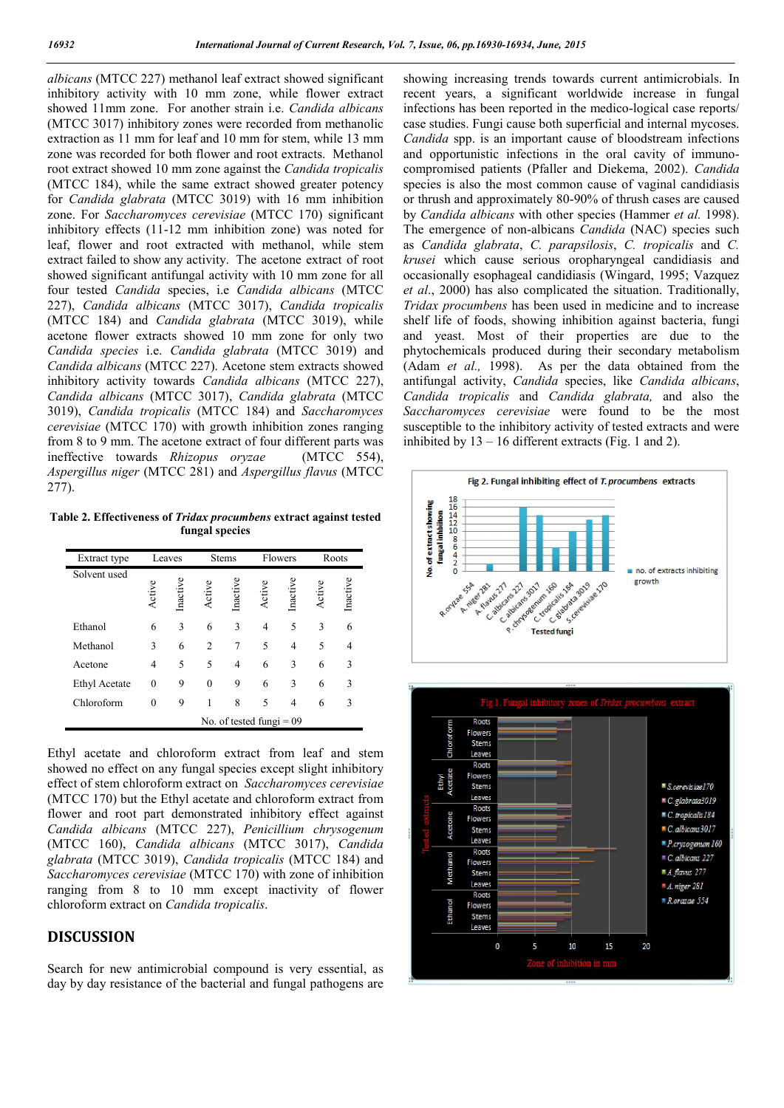*albicans* (MTCC 227) methanol leaf extract showed significant inhibitory activity with 10 mm zone, while flower extract showed 11mm zone. For another strain i.e. *Candida albicans*  (MTCC 3017) inhibitory zones were recorded from methanolic extraction as 11 mm for leaf and 10 mm for stem, while 13 mm zone was recorded for both flower and root extracts. Methanol root extract showed 10 mm zone against the *Candida tropicalis* (MTCC 184), while the same extract showed greater potency for *Candida glabrata* (MTCC 3019) with 16 mm inhibition zone. For *Saccharomyces cerevisiae* (MTCC 170) significant inhibitory effects (11-12 mm inhibition zone) was noted for leaf, flower and root extracted with methanol, while stem extract failed to show any activity. The acetone extract of root showed significant antifungal activity with 10 mm zone for all four tested *Candida* species, i.e *Candida albicans* (MTCC 227), *Candida albicans* (MTCC 3017), *Candida tropicalis* (MTCC 184) and *Candida glabrata* (MTCC 3019), while acetone flower extracts showed 10 mm zone for only two *Candida species* i.e. *Candida glabrata* (MTCC 3019) and *Candida albicans* (MTCC 227). Acetone stem extracts showed inhibitory activity towards *Candida albicans* (MTCC 227), *Candida albicans* (MTCC 3017), *Candida glabrata* (MTCC 3019), *Candida tropicalis* (MTCC 184) and *Saccharomyces cerevisiae* (MTCC 170) with growth inhibition zones ranging from 8 to 9 mm. The acetone extract of four different parts was ineffective towards *Rhizopus oryzae* (MTCC 554), *Aspergillus niger* (MTCC 281) and *Aspergillus flavus* (MTCC 277).

**Table 2. Effectiveness of** *Tridax procumbens* **extract against tested fungal species**

| Extract type         | Leaves                     |          | <b>Stems</b> |          | Flowers |          | Roots  |          |
|----------------------|----------------------------|----------|--------------|----------|---------|----------|--------|----------|
| Solvent used         | Active                     | Inactive | Active       | Inactive | Active  | Inactive | Active | Inactive |
| Ethanol              | 6                          | 3        | 6            | 3        | 4       | 5        | 3      | 6        |
| Methanol             | 3                          | 6        | 2            | 7        | 5       | 4        | 5      | 4        |
| Acetone              | 4                          | 5        | 5            | 4        | 6       | 3        | 6      | 3        |
| <b>Ethyl Acetate</b> | 0                          | 9        | $\theta$     | 9        | 6       | 3        | 6      | 3        |
| Chloroform           | 0                          | 9        |              | 8        | 5       | 4        | 6      | 3        |
|                      | No. of tested fungi $= 09$ |          |              |          |         |          |        |          |

Ethyl acetate and chloroform extract from leaf and stem showed no effect on any fungal species except slight inhibitory effect of stem chloroform extract on *Saccharomyces cerevisiae* (MTCC 170) but the Ethyl acetate and chloroform extract from flower and root part demonstrated inhibitory effect against *Candida albicans* (MTCC 227), *Penicillium chrysogenum* (MTCC 160), *Candida albicans* (MTCC 3017), *Candida glabrata* (MTCC 3019), *Candida tropicalis* (MTCC 184) and *Saccharomyces cerevisiae* (MTCC 170) with zone of inhibition ranging from 8 to 10 mm except inactivity of flower chloroform extract on *Candida tropicalis*.

### **DISCUSSION**

Search for new antimicrobial compound is very essential, as day by day resistance of the bacterial and fungal pathogens are showing increasing trends towards current antimicrobials. In recent years, a significant worldwide increase in fungal infections has been reported in the medico-logical case reports/ case studies. Fungi cause both superficial and internal mycoses. *Candida* spp. is an important cause of bloodstream infections and opportunistic infections in the oral cavity of immunocompromised patients (Pfaller and Diekema, 2002). *Candida*  species is also the most common cause of vaginal candidiasis or thrush and approximately 80-90% of thrush cases are caused by *Candida albicans* with other species (Hammer *et al.* 1998). The emergence of non-albicans *Candida* (NAC) species such as *Candida glabrata*, *C. parapsilosis*, *C. tropicalis* and *C. krusei* which cause serious oropharyngeal candidiasis and occasionally esophageal candidiasis (Wingard, 1995; Vazquez *et al*., 2000) has also complicated the situation. Traditionally, *Tridax procumbens* has been used in medicine and to increase shelf life of foods, showing inhibition against bacteria, fungi and yeast. Most of their properties are due to the phytochemicals produced during their secondary metabolism (Adam *et al.,* 1998). As per the data obtained from the antifungal activity, *Candida* species, like *Candida albicans*, *Candida tropicalis* and *Candida glabrata,* and also the *Saccharomyces cerevisiae* were found to be the most susceptible to the inhibitory activity of tested extracts and were inhibited by  $13 - 16$  different extracts (Fig. 1 and 2).

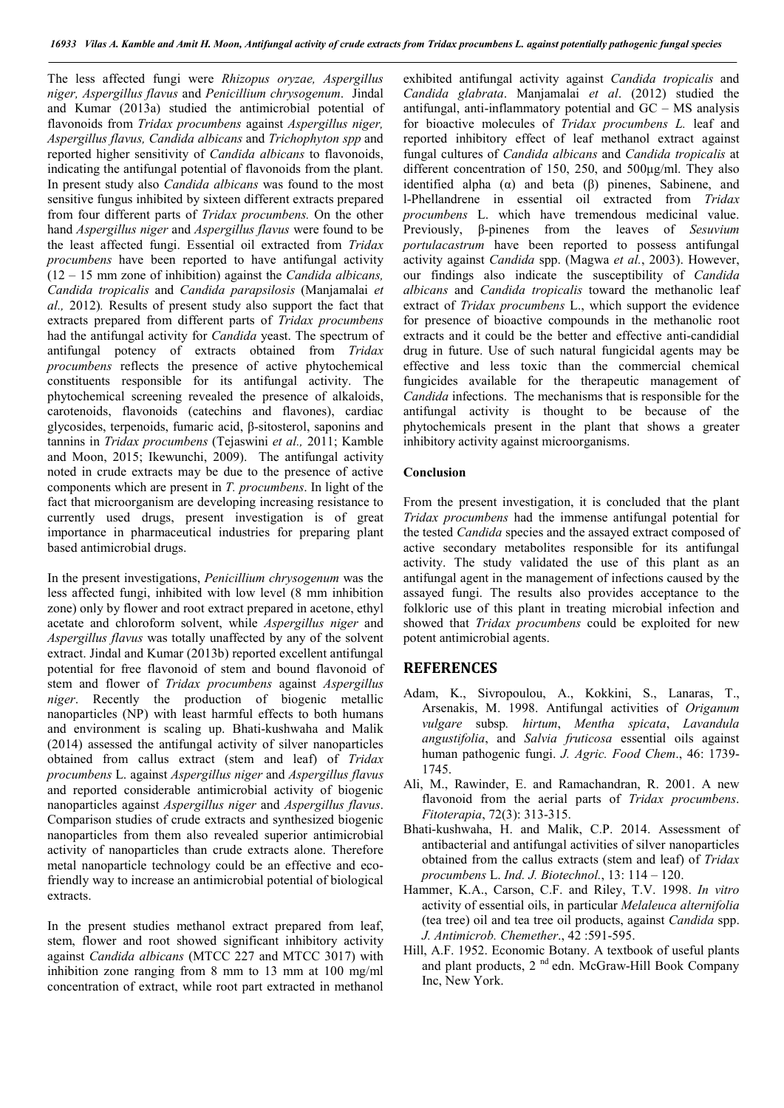The less affected fungi were *Rhizopus oryzae, Aspergillus niger, Aspergillus flavus* and *Penicillium chrysogenum*. Jindal and Kumar (2013a) studied the antimicrobial potential of flavonoids from *Tridax procumbens* against *Aspergillus niger, Aspergillus flavus, Candida albicans* and *Trichophyton spp* and reported higher sensitivity of *Candida albicans* to flavonoids, indicating the antifungal potential of flavonoids from the plant. In present study also *Candida albicans* was found to the most sensitive fungus inhibited by sixteen different extracts prepared from four different parts of *Tridax procumbens.* On the other hand *Aspergillus niger* and *Aspergillus flavus* were found to be the least affected fungi. Essential oil extracted from *Tridax procumbens* have been reported to have antifungal activity (12 – 15 mm zone of inhibition) against the *Candida albicans, Candida tropicalis* and *Candida parapsilosis* (Manjamalai *et al.,* 2012)*.* Results of present study also support the fact that extracts prepared from different parts of *Tridax procumbens* had the antifungal activity for *Candida* yeast. The spectrum of antifungal potency of extracts obtained from *Tridax procumbens* reflects the presence of active phytochemical constituents responsible for its antifungal activity. The phytochemical screening revealed the presence of alkaloids, carotenoids, flavonoids (catechins and flavones), cardiac glycosides, terpenoids, fumaric acid, β-sitosterol, saponins and tannins in *Tridax procumbens* (Tejaswini *et al.,* 2011; Kamble and Moon, 2015; Ikewunchi, 2009). The antifungal activity noted in crude extracts may be due to the presence of active components which are present in *T. procumbens*. In light of the fact that microorganism are developing increasing resistance to currently used drugs, present investigation is of great importance in pharmaceutical industries for preparing plant based antimicrobial drugs.

In the present investigations, *Penicillium chrysogenum* was the less affected fungi, inhibited with low level (8 mm inhibition zone) only by flower and root extract prepared in acetone, ethyl acetate and chloroform solvent, while *Aspergillus niger* and *Aspergillus flavus* was totally unaffected by any of the solvent extract. Jindal and Kumar (2013b) reported excellent antifungal potential for free flavonoid of stem and bound flavonoid of stem and flower of *Tridax procumbens* against *Aspergillus niger*. Recently the production of biogenic metallic nanoparticles (NP) with least harmful effects to both humans and environment is scaling up. Bhati-kushwaha and Malik (2014) assessed the antifungal activity of silver nanoparticles obtained from callus extract (stem and leaf) of *Tridax procumbens* L. against *Aspergillus niger* and *Aspergillus flavus* and reported considerable antimicrobial activity of biogenic nanoparticles against *Aspergillus niger* and *Aspergillus flavus*. Comparison studies of crude extracts and synthesized biogenic nanoparticles from them also revealed superior antimicrobial activity of nanoparticles than crude extracts alone. Therefore metal nanoparticle technology could be an effective and ecofriendly way to increase an antimicrobial potential of biological extracts.

In the present studies methanol extract prepared from leaf, stem, flower and root showed significant inhibitory activity against *Candida albicans* (MTCC 227 and MTCC 3017) with inhibition zone ranging from 8 mm to 13 mm at 100 mg/ml concentration of extract, while root part extracted in methanol exhibited antifungal activity against *Candida tropicalis* and *Candida glabrata*. Manjamalai *et al*. (2012) studied the antifungal, anti-inflammatory potential and GC – MS analysis for bioactive molecules of *Tridax procumbens L.* leaf and reported inhibitory effect of leaf methanol extract against fungal cultures of *Candida albicans* and *Candida tropicalis* at different concentration of 150, 250, and 500μg/ml. They also identified alpha  $(\alpha)$  and beta  $(\beta)$  pinenes, Sabinene, and l-Phellandrene in essential oil extracted from *Tridax procumbens* L. which have tremendous medicinal value. Previously, β-pinenes from the leaves of *Sesuvium portulacastrum* have been reported to possess antifungal activity against *Candida* spp. (Magwa *et al.*, 2003). However, our findings also indicate the susceptibility of *Candida albicans* and *Candida tropicalis* toward the methanolic leaf extract of *Tridax procumbens* L., which support the evidence for presence of bioactive compounds in the methanolic root extracts and it could be the better and effective anti-candidial drug in future. Use of such natural fungicidal agents may be effective and less toxic than the commercial chemical fungicides available for the therapeutic management of *Candida* infections. The mechanisms that is responsible for the antifungal activity is thought to be because of the phytochemicals present in the plant that shows a greater inhibitory activity against microorganisms.

#### **Conclusion**

From the present investigation, it is concluded that the plant *Tridax procumbens* had the immense antifungal potential for the tested *Candida* species and the assayed extract composed of active secondary metabolites responsible for its antifungal activity. The study validated the use of this plant as an antifungal agent in the management of infections caused by the assayed fungi. The results also provides acceptance to the folkloric use of this plant in treating microbial infection and showed that *Tridax procumbens* could be exploited for new potent antimicrobial agents.

### **REFERENCES**

- Adam, K., Sivropoulou, A., Kokkini, S., Lanaras, T., Arsenakis, M. 1998. Antifungal activities of *Origanum vulgare* subsp*. hirtum*, *Mentha spicata*, *Lavandula angustifolia*, and *Salvia fruticosa* essential οils against human pathogenic fungi. *J. Agric. Food Chem*., 46: 1739- 1745.
- Ali, M., Rawinder, E. and Ramachandran, R. 2001. A new flavonoid from the aerial parts of *Tridax procumbens*. *Fitoterapia*, 72(3): 313-315.
- Bhati-kushwaha, H. and Malik, C.P. 2014. Assessment of antibacterial and antifungal activities of silver nanoparticles obtained from the callus extracts (stem and leaf) of *Tridax procumbens* L. *Ind. J. Biotechnol.*, 13: 114 – 120.
- Hammer, K.A., Carson, C.F. and Riley, T.V. 1998. *In vitro*  activity of essential oils, in particular *Melaleuca alternifolia*  (tea tree) oil and tea tree oil products, against *Candida* spp. *J. Antimicrob. Chemether*., 42 :591-595.
- Hill, A.F. 1952. Economic Botany. A textbook of useful plants and plant products, 2<sup>nd</sup> edn. McGraw-Hill Book Company Inc, New York.